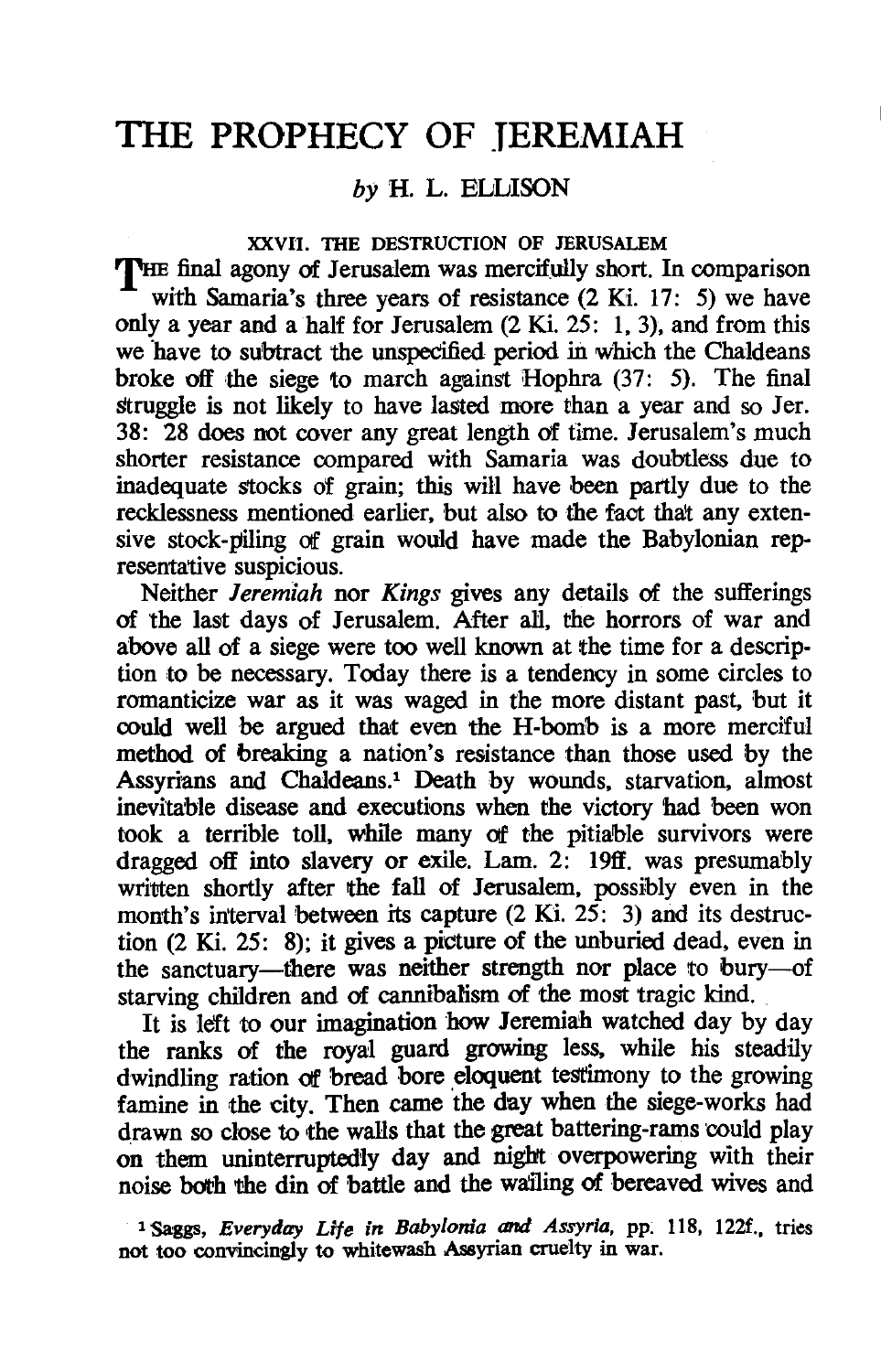# THE PROPHECY OF JEREMIAH

# by H. L. ELLISON

#### XXVII. THE DESTRUCTION OF JERUSALEM

THE final agony of Jerusalem was mercifully short. In comparison with Samaria's three years of resistance (2 Ki. 17: 5) we have only a year and a half for Jerusalem (2 Ki. 25: 1,3), and from this we 'have to subtract the unspecified period in which the Chaldeans broke off the siege to march against Hophra  $(37: 5)$ . The final struggle is not likely to have lasted more than a year and so Jer. 38: 28 does not cover any great length of time. Jerusalem's much shorter resistance compared with Samaria was doubtless due to inadequate stocks of grain; this will have been partly due to the recklessness mentioned earlier, but also to the faot that any extensive stock-piling of grain would have made the Babylonian representative suspicious.

Neither *leremiah* nor *Kings* gives any details of the sufferings of the last days of Jerusalem. After all, the horrors of war and above all of a siege were too well known at the time for a description to be necessary. Today there is a tendency in some circles to romanticize war as it was waged in the more distant past, but it could well be argued that even the H-bomb is a more merciful method. of breaking a nation's resistance than those used by the Assyrians and Chaldeans.1 Death by wounds, starvation, almost inevitable disease and executions when the victory 'had been won took a terrible toll, while many Of the pitiable survivors were dragged off into slavery or exile. Lam. 2: 19ff. was presumably written shortly after the fall of Jerusalem, possibly even in the month's interval between its capture  $(2 Ki. 25: 3)$  and its destruction (2 Ki. 25: 8); it gives a picture of the unburied dead, even in the sanctuary-there was neither strength nor place to bury-of starving children and of cannibalism of the most tragic kind.

It is left to our imagination how Jeremiah watched day by day the ranks of the royal guard growing less. while his steadily dwindling ration of bread bore eloquent testimony to the growing famine in the city. Then came the day when the siege-works had drawn so close to the walls that the great battering-rams could play on them uninterruptedly day and night overpowering with their noise both the din of battle and the wailing of bereaved wives and

<sup>1</sup> Saggs, *Everyday Life in Babylonia and Assyria*, pp. 118, 122f., tries not too convincingly to whitewash Assyrian cruelty in war.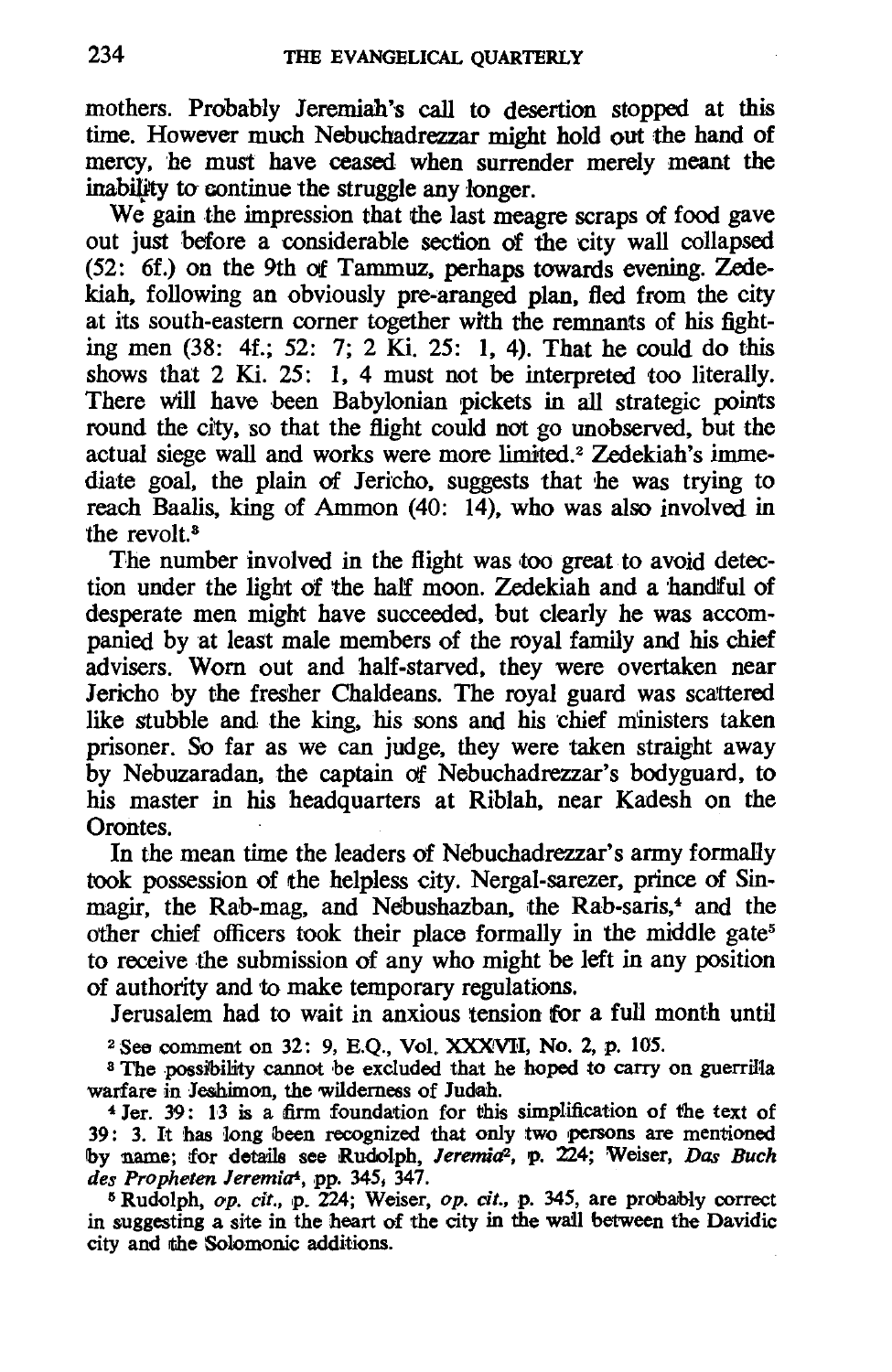mothers. Probably Jeremiah's call to desertion stopped at this time. However much Nebucbadrezzar might hold out the hand of mercy, he must have ceased when surrender merely meant the inability to continue the struggle any longer.

We gain the impression that the last meagre scraps of food gave out just before a considerable section of the city wall collapsed (52: 6f.) on the 9th of Tammuz, perhaps towards evening. Zedekiah, following an obviously pre-aranged plan, fled from the city at its south-eastern corner together with the remnants of his fighting men  $(38: 4f.$ ; 52: 7; 2 Ki, 25: 1, 4). That he could do this shows that 2 Ki. 25: 1, 4 must not be interpreted too literally. There will have been Babylonian pickets in all strategic points round the city, so that the flight could not go unobserved, but the actual siege wall and works were more limited.2 Zedekiah's immediate goal, the plain of Jericho, suggests that he was trying to reach Baalis, king of Ammon (40: 14), who was also involved in the revolt.<sup>3</sup>

The number involved in the flight was too great to avoid detection under the light of the half moon. Zedekiah and a handful of desperate men might have succeeded, but clearly he was accompanied by at least male members of the royal family and his chief advisers. Worn out and half-starved, they were overtaken near Jericho by the fresher Chaldeans. The royal guard was scattered like stubble and the king, his sons and his chief ministers taken prisoner. So far as we can judge, they were taken straight away by Nebuzaradan, the captain of Nebuchadrezzar's bodyguard, to his master in his headquarters at Riblah, near Kadesh on the Orontes.

In the mean time the leaders of Nebuchadrezzar's army formally took possession of the helpless city. Nergal-sarezer, prince of Sinmagir, the Rab-mag, and Nebushazban, the Rab-saris,<sup>4</sup> and the other chief officers took their place formally in the middle gate<sup>5</sup> to receive the submission of any who might be left in any position of authority and to make temporary regulations.

Jerusalem had to wait in anxious tension for a full month until

<sup>2</sup> See comment on 32: 9, E.Q., Vol. XXXVII, No. 2, p. 105.

<sup>8</sup> The possibility cannot be excluded that he hoped to carry on guerrilla warfare in Jeshimon, the wilderness of Judah.

4 Jer. 39: 13 is a firm foundation for this simplification of the text of 39: 3. It has 10ng ibeen recognized that only two persons are mentioned Iby name; !for details see Rudolph, *JeremicP,* p. 224; Weiser, *Das Buch des Propheten Jeremia4,* pp. 345. 347.

<sup>5</sup> Rudolph, op. cit., p. 224; Weiser, op. cit., p. 345, are probably correct in suggesting a site in the heart of the city in the wail between the Davidic city and the Solomonic additions.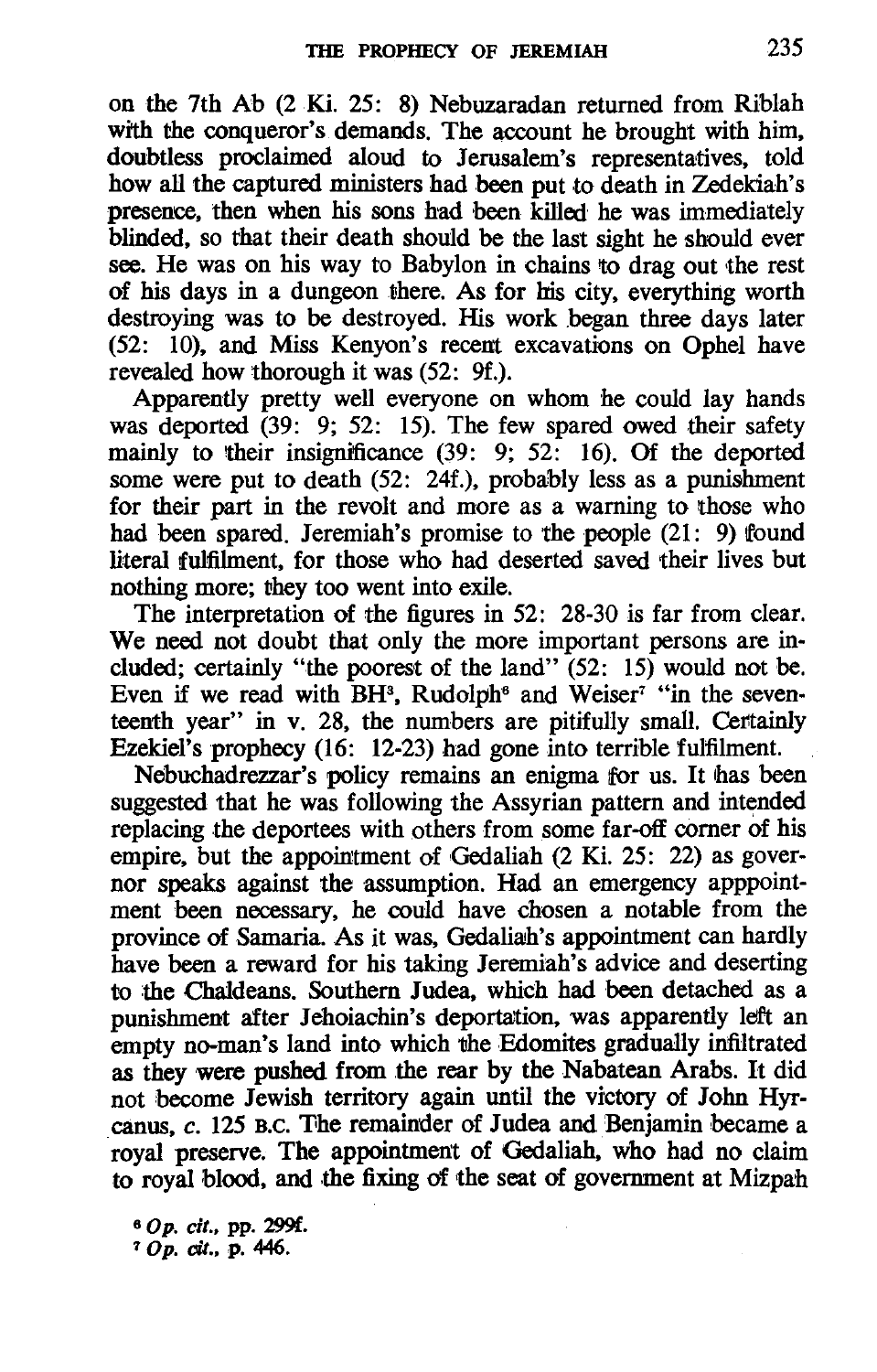on the 7th Ab (2 Ki. 25: 8) Nebuzaradan returned from Riblah with the conqueror's demands. The account he brought with him, doubtless proclaimed aloud to Jerusalem's representatives, told how all the captured ministers had been put to death in Zedekiah's presence, then when his sons had been killed' he was immediately blinded, so that their death should be the last sight he should ever see. He was on his way to Babylon in chains to drag out the rest of his days in a dungeon there. As for his city, everything worth destroying was to be destroyed. His work began three days later (52: 10), and Miss Kenyon's recent excavations on Ophel have revealed how thorough it was (52: 9f.).

Apparently pretty well everyone on whom he could lay hands was deported (39: 9; 52: 15). The few spared owed their safety mainly to their insignificance (39: 9; 52: 16). Of the deported some were put to death (52: 24f.), probably less as a punishment for their part in the revolt and more as a warning to those who had been spared. Jeremiah's promise to the people (21: 9) found literal fulfilment, for those who had deserted saved their lives but nothing more; they too went into exile.

The interpretation of the figures in 52: 28-30 is far from clear. We need not doubt that only the more important persons are included; certainly "the poorest of the land" (52: 15) would not be. Even if we read with  $BH^3$ , Rudolph<sup>6</sup> and Weiser<sup>7</sup> "in the seventeenth year" in v. 28, the numbers are pitifully small. Certainly Ezekiel's prophecy (16: 12-23) had gone into terrible fulfilment.

Nebuchadrezzar's policy remains an enigma for us. It has been suggested that he was following the Assyrian pattern and intended replacing the deportees with others from some far-off corner of his empire, but the appointment of Gedaliah (2 Ki. 25: 22) as governor speaks against the assumption. Had an emergency apppointment been necessary, he could have chosen a notable from the province of Samaria. As it was, Gedaliah's appointment can hardly have been a reward for his taking Jeremiah's advice and deserting to the Chaldeans. Southern Judea, which had been detached as a punishment after Jehoiachin's deportation, was apparently left an empty no-man's land into which the Edomites gradually infiltrated as they were pushed from the rear by the Nabatean Arabs. It did not become Jewish territory again until the victory of John Hyrcanus,  $c$ . 125 B.C. The remainder of Judea and Benjamin became a . royal preserve. The appointment of Gedaliah, who had no claim to royal blood, and the fixing of the seat of government at Mizpah

60p. *cit.,* pp. 299f.  $70p.$  cit., p. 446.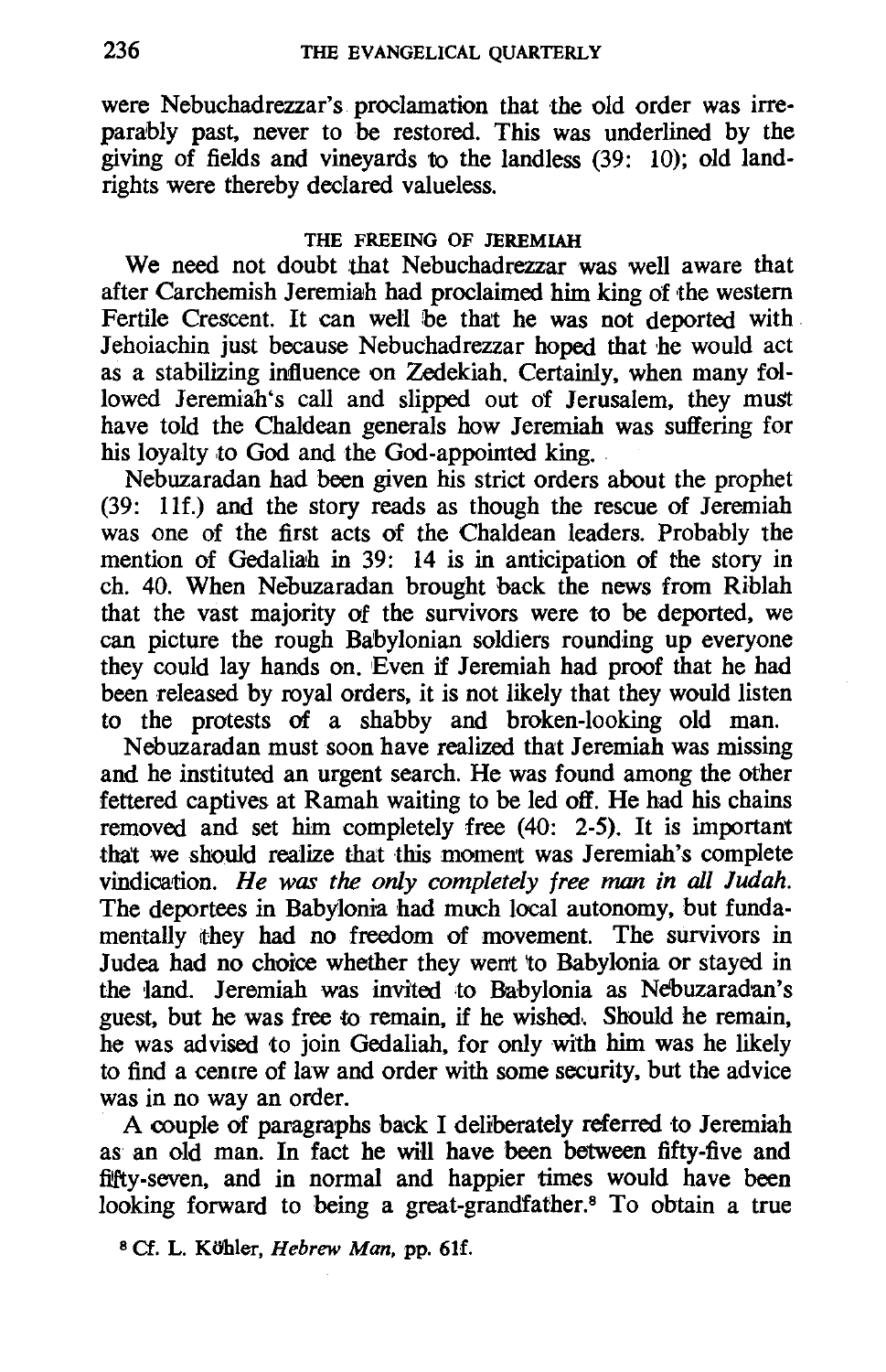were Nebuchadrezzar's proclamation that the old order was irreparably past, never to be restored. This was underlined by the giving of fields and vineyards to the landless (39: 10); old landrights were thereby declared valueless.

## THE FREEING OF JEREMIAH

We need not doubt that Nebuchadrezzar was well aware that after Carchemish Jeremiah had proclaimed him king of the western Fertile Crescent. It can well be that he was not deported with Jehoiachin just because Nebuchadrezzar hoped that he would act as a stabilizing influence on Zedekiah. Certainly, when many followed Jeremiah's call and slipped out of Jerusalem, they must have told the Chaldean generals how Jeremiah was suffering for his loyalty to God and the God-appointed king.

Nebuzaradan had been given his strict orders about the prophet (39: Ilf.) and the story reads as though the rescue of Jeremiah was one of the first acts of the Chaldean leaders. Probably the mention of Gedaliah in 39: 14 is in anticipation of the story in ch. 40. When Nebuzaradan brought back the news from Riblah that the vast majority of the survivors were to be deported, we can picture the rough Babylonian soldiers rounding up everyone they could lay hands on. Even if Jeremiah had proof that he had been released by royal orders, it is not likely that they would listen to the protests of a shabby and broken-looking old man.

Nebuzaradan must soon have realized that Jeremiah was missing and he instituted an urgent search. He was found among the other fettered captives at Ramah waiting to be led off. He had his chains removed and set him completely free (40: 2-5). It is important that we should realize that this moment was Jeremiah's complete vindication. *He was the only completely free man in all Judah.*  The deportees in Babylonia had much local autonomy, but fundamentally they had no freedom of movement. The survivors in Judea had no choice whether they went 'to Babylonia or stayed in the land. Jeremiah was invited to Babylonia as Nebuzaradan's guest, but he was free to remain, if he wished.. Should he remain, he was advised to join Gedaliah, for only with him was he likely to find a cemre of law and order with some security, but the advice was in no way an order.

A couple of paragraphs back I deliberately referred to Jeremiah as an old man. In fact he will have been between fifty-five and fifty-seven, and in normal and happier times would have been looking forward to being a great-grandfather.<sup>8</sup> To obtain a true

<sup>8</sup> Cf. L. Köhler, *Hebrew Man*, pp. 61f.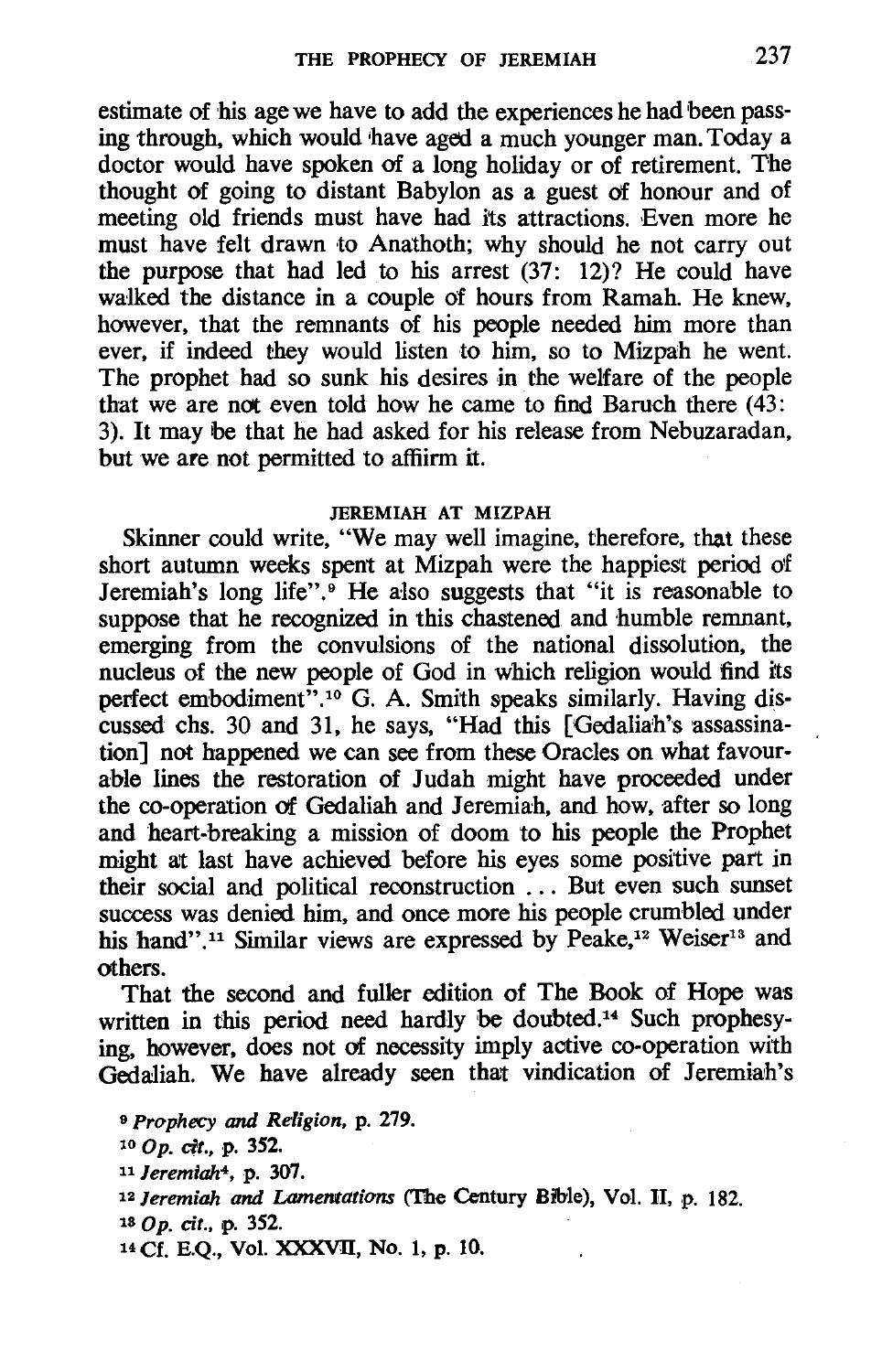estimate of his age we have to add the experiences he had been passing through, which would have aged a much younger man. Today a doctor would have spoken of a long holiday or of retirement. The thought of going to distant Babylon as a guest of honour and of meeting old friends must have had its attractions. Even more he must have felt drawn to Anathoth; why should he not carry out the purpose that had led to his arrest (37: 12)? He could have walked the distance in a couple of hours from Ramah. He knew, however, that the remnants of his people needed him more than ever, if indeed they would listen to him, so to Mizpah he went. The prophet had so sunk his desires in the welfare of the people that we are not even told how he came to find Baruch there  $(43)$ . 3). It may be that he had asked for his release from Nebuzaradan, but we are not permitted to affiirm it.

### JEREMIAH AT MIZPAH

Skinner could write, "We may well imagine, therefore, that these short autumn weeks spent at Mizpah were the happiest period O'f Jeremiah's long life".<sup>9</sup> He also suggests that "it is reasonable to suppose that he recognized in this chastened and humble remnant, emerging from the convulsions of the national dissolution, the nucleus of the new people of God in which religion would find its perfect embodiment".<sup>10</sup> G. A. Smith speaks similarly. Having discussed chs. 30 and 31, he says, "Had this [Oedaliah's assassination] not happened we can see from these Oracles on what favourable lines the restoration of Judah might have proceeded under the co-operation of Gedaliah and Jeremiah, and how, after so long and heart-breaking a mission of doom to his people the Prophet might at last have achieved before his eyes some positive part in their social and political reconstruction . . . But even such sunset success was denied him, and once more his people crumbled under his hand".<sup>11</sup> Similar views are expressed by Peake.<sup>12</sup> Weiser<sup>13</sup> and others.

That the second and fuller edition of The Book of Hope was written in this period need hardly be doubted.<sup>14</sup> Such prophesying, however, does not of necessity imply active co-operation with Gedaliah. We have already seen that vindication of Jeremiah's

<sup>9</sup>*Prophecy* and *Religion,* p. 279. *lOOp. cit.,* p. 352. <sup>11</sup>*Jeremiah*<sup>4</sup> , p. 307. *12 Jeremiah and lAmentations* ('The Century Bible), Vol. H, p. 182. 180p. *cit.,* p. 352. 14 Cf. E.Q., Vol. XXXVII, No. 1, p. 10.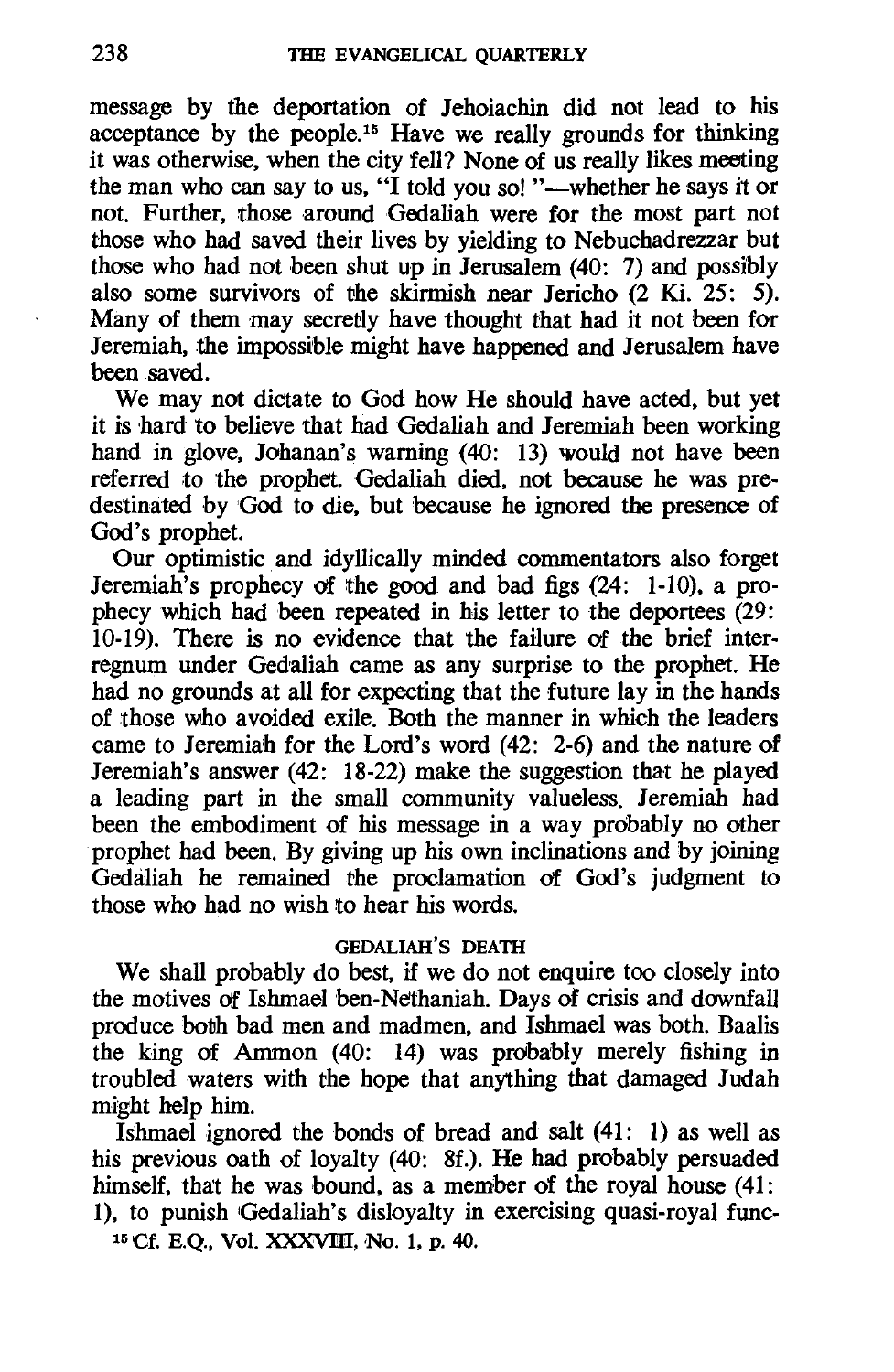message by the deportation of Jehoiachin did not lead to his acceptance by the people.<sup>15</sup> Have we really grounds for thinking it was otherwise. when the city fell? None of us really likes meeting the man who can say to us. "I told you so! "-whether he says it or not. Further. those around Gedaliah were for the most part not those who had saved their lives by yielding to Nebuchadrezzar but those who had not been shut up in Jerusalem (40: 7) and possibly also some survivors of the skirmish near Jericho  $(2 \text{ Ki. } 25: 5)$ . Many of them may secretly have thought that had it not been for Jeremiah. the impossible might have happened and Jerusalem have been saved.

We may not dictate to God how He should have acted. but yet it is hard to believe that had Gedaliah and Jeremiah been working hand in glove, Johanan's warning (40: 13) would not have been referred to the prophet. Gedaliah died. not because he was predestinated by God to die, but because he ignored the presence of God's prophet.

Our optimistic. and idyllically minded commentators also forget Jeremiah's prophecy af the good and bad figs (24: 1-10). a prophecy which had been repeated in his letter to the deportees (29: 10-19). There is no evidence that the failure of the brief interregnum under Gedaliah came as any surprise to the prophet. He had no grounds at all for expecting that the future lay in the hands of those who avoided exile. Both the manner in which the leaders came to Jeremiah for the Lord's word (42: 2-6) and the nature of Jeremiah's answer (42: 18-22) make the suggestion that he played a leading part in the small community valueless. Jeremiah had been the embodiment of his message in a way probably no other prophet had been. By giving up his own inclinations and by joining Gedaliah he remained the proclamation of God's judgment to those who had no wish to hear his words.

#### GEDALIAH'S DEATH

We shall probably do best, if we do not enquire too closely into the motives of Ishmael ben-Nethaniah. Days of crisis and downfall produce both bad men and madmen. and IshmaeI was both. Baalis the king of Ammon (40: 14) was probably merely fishing in troubled waters with the hope that anything that damaged Judah might help him.

Ishmael ignored the bonds of bread and salt (41: 1) as well as his previous oath of loyalty (40: 8f.). He had probably persuaded himself, that he was bound. as a member of the royal house (41: 1). to punish Gedaliah's disloyalty in exercising quasi-royal func-

<sup>15</sup> Cf. E.O., Vol. XXXVIII, No. 1, p. 40.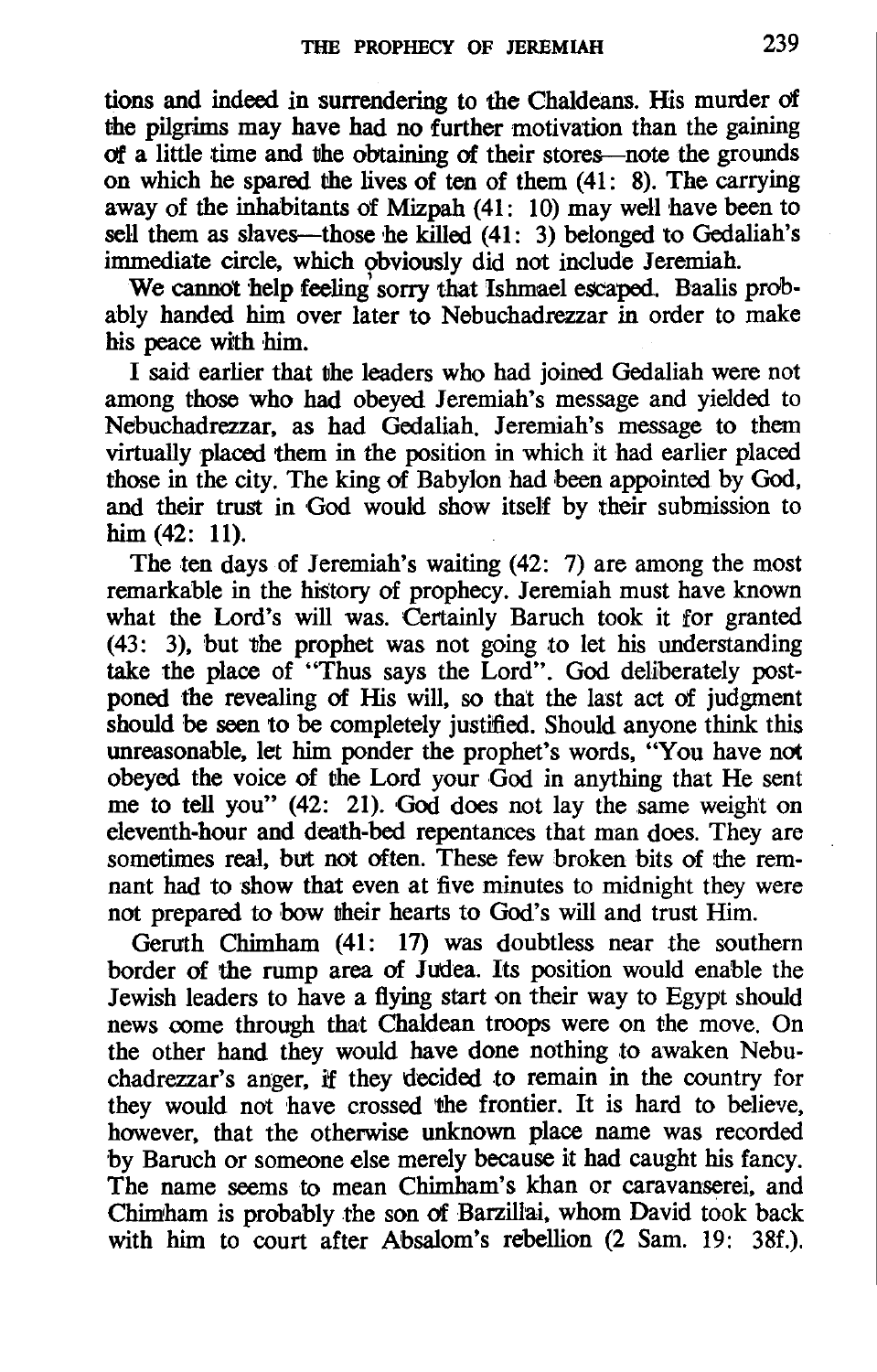tions and indeed in surrendering to the Chaldeans. His murder of the pilgrims may have had no further motivation than the gaining of a little time and the obtaining of their stores-note the grounds on which he spared the lives of ten of them (41: 8). The carrying away of the inhabitants of Mizpah (41: 10) may well have been to sell them as slaves—those he killed  $(41: 3)$  belonged to Gedaliah's immediate circle. which obviously did not include Jeremiah.

We cannot help feeling' sorry that Ishmael escaped. Baalis probably handed him over later to Nebuchadrezzar in order to make his peace with him.

I said earlier that the leaders who had joined Gedaliah were not among those who had obeyed Jeremiah's message and yielded to Nebuchadrezzar. as had Gedaliah. Jeremiah's message to them virtually placed them in the position in which it had earlier placed those in the city. The king of Babylon had been appointed by God. and their trust in God would show itself by their submission to him (42: 11).

The ten days of Jeremiah's waiting (42: 7) are among the most remarkable in the history of prophecy. Jeremiah must have known what the Lord's will was. Certainly Baruch took it for granted (43: 3). but the prophet was not going to let his understanding take the place of "Thus says the Lord". God deliberately postponed the revealing of His will. so that the last act of judgment should be seen to be completely justified. Should anyone think this unreasonable. let him ponder the prophet's words. "You have not obeyed the voice of the Lord your God in anything that He sent me to tell you" (42: 21). God does not lay the same weight on eleventh-hour and death-bed repentances that man does. They are sometimes real. but not often. These few broken bits of the remnant had to show that even at five minutes to midnight they were not prepared to bow their hearts to God's will and trust Him.

Geruth Chimham (41: 17) was doubtless near the southern border of the rump area of Judea. Its position would enable the Jewish leaders to have a flying start on their way to Egypt should news come through that Chaldean troops were on the move. On the other hand they would have done nothing to awaken Nebuchadrezzar's anger. if they decided to remain in the country for they would not have crossed the frontier. It is hard to believe. however. that the otherwise unknown place name was recorded by Baruch or someone else merely because it had caught his fancy. The name seems to mean Chimham's khan or caravanserei. and Chimtham is probably the son of Barzillai. whom David took back with him to court after Absalom's rebellion (2 Sam. 19: 38f.).